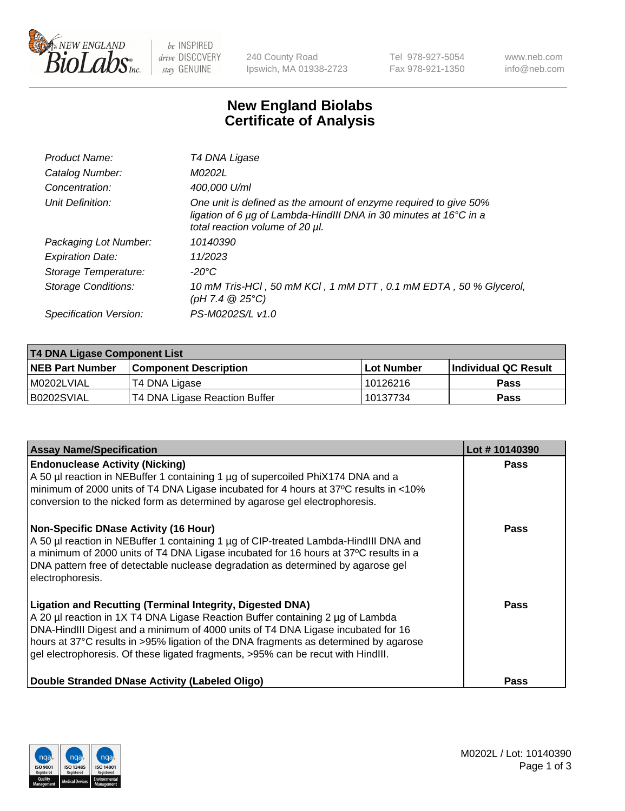

 $be$  INSPIRED drive DISCOVERY stay GENUINE

240 County Road Ipswich, MA 01938-2723 Tel 978-927-5054 Fax 978-921-1350 www.neb.com info@neb.com

## **New England Biolabs Certificate of Analysis**

| Product Name:           | T4 DNA Ligase                                                                                                                                                            |
|-------------------------|--------------------------------------------------------------------------------------------------------------------------------------------------------------------------|
| Catalog Number:         | M0202L                                                                                                                                                                   |
| Concentration:          | 400,000 U/ml                                                                                                                                                             |
| Unit Definition:        | One unit is defined as the amount of enzyme required to give 50%<br>ligation of 6 µg of Lambda-HindIII DNA in 30 minutes at 16°C in a<br>total reaction volume of 20 µl. |
| Packaging Lot Number:   | 10140390                                                                                                                                                                 |
| <b>Expiration Date:</b> | 11/2023                                                                                                                                                                  |
| Storage Temperature:    | -20°C                                                                                                                                                                    |
| Storage Conditions:     | 10 mM Tris-HCl, 50 mM KCl, 1 mM DTT, 0.1 mM EDTA, 50 % Glycerol,<br>(pH 7.4 $@25°C$ )                                                                                    |
| Specification Version:  | PS-M0202S/L v1.0                                                                                                                                                         |
|                         |                                                                                                                                                                          |

| <b>T4 DNA Ligase Component List</b> |                               |             |                       |  |
|-------------------------------------|-------------------------------|-------------|-----------------------|--|
| <b>NEB Part Number</b>              | <b>Component Description</b>  | ⊺Lot Number | ∣Individual QC Result |  |
| M0202LVIAL                          | T4 DNA Ligase                 | 10126216    | <b>Pass</b>           |  |
| B0202SVIAL                          | T4 DNA Ligase Reaction Buffer | 10137734    | <b>Pass</b>           |  |

| <b>Assay Name/Specification</b>                                                                                                                                                                                                                                                                                                                                                                                    | Lot #10140390 |
|--------------------------------------------------------------------------------------------------------------------------------------------------------------------------------------------------------------------------------------------------------------------------------------------------------------------------------------------------------------------------------------------------------------------|---------------|
| <b>Endonuclease Activity (Nicking)</b><br>A 50 µl reaction in NEBuffer 1 containing 1 µg of supercoiled PhiX174 DNA and a<br>minimum of 2000 units of T4 DNA Ligase incubated for 4 hours at 37°C results in <10%<br>conversion to the nicked form as determined by agarose gel electrophoresis.                                                                                                                   | <b>Pass</b>   |
| <b>Non-Specific DNase Activity (16 Hour)</b><br>A 50 µl reaction in NEBuffer 1 containing 1 µg of CIP-treated Lambda-HindIII DNA and<br>a minimum of 2000 units of T4 DNA Ligase incubated for 16 hours at 37°C results in a<br>DNA pattern free of detectable nuclease degradation as determined by agarose gel<br>electrophoresis.                                                                               | <b>Pass</b>   |
| <b>Ligation and Recutting (Terminal Integrity, Digested DNA)</b><br>A 20 µl reaction in 1X T4 DNA Ligase Reaction Buffer containing 2 µg of Lambda<br>DNA-HindIII Digest and a minimum of 4000 units of T4 DNA Ligase incubated for 16<br>hours at 37°C results in >95% ligation of the DNA fragments as determined by agarose<br>gel electrophoresis. Of these ligated fragments, >95% can be recut with HindIII. | Pass          |
| Double Stranded DNase Activity (Labeled Oligo)                                                                                                                                                                                                                                                                                                                                                                     | <b>Pass</b>   |

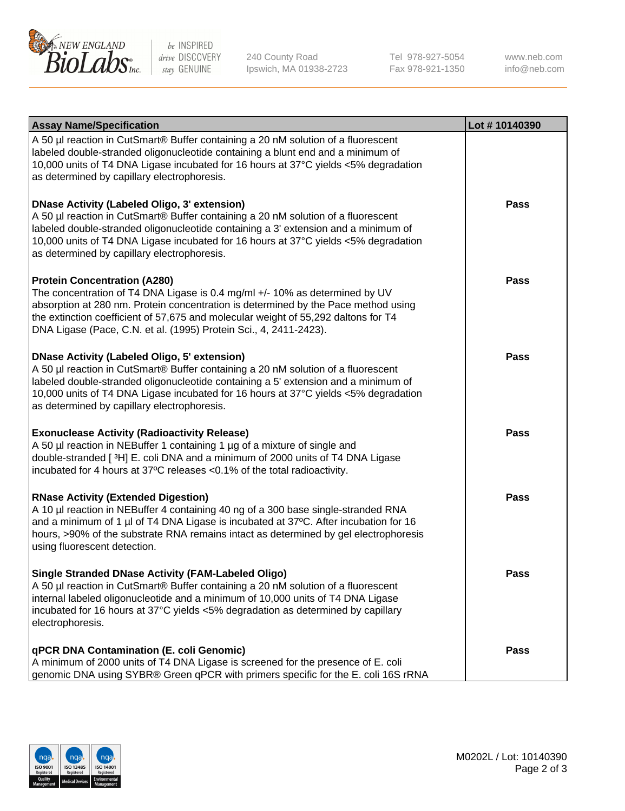

be INSPIRED drive DISCOVERY stay GENUINE

240 County Road Ipswich, MA 01938-2723 Tel 978-927-5054 Fax 978-921-1350 www.neb.com info@neb.com

| <b>Assay Name/Specification</b>                                                                                                                                                                                                                                                                                                                                      | Lot #10140390 |
|----------------------------------------------------------------------------------------------------------------------------------------------------------------------------------------------------------------------------------------------------------------------------------------------------------------------------------------------------------------------|---------------|
| A 50 µl reaction in CutSmart® Buffer containing a 20 nM solution of a fluorescent<br>labeled double-stranded oligonucleotide containing a blunt end and a minimum of<br>10,000 units of T4 DNA Ligase incubated for 16 hours at 37°C yields <5% degradation<br>as determined by capillary electrophoresis.                                                           |               |
| <b>DNase Activity (Labeled Oligo, 3' extension)</b><br>A 50 µl reaction in CutSmart® Buffer containing a 20 nM solution of a fluorescent<br>labeled double-stranded oligonucleotide containing a 3' extension and a minimum of<br>10,000 units of T4 DNA Ligase incubated for 16 hours at 37°C yields <5% degradation<br>as determined by capillary electrophoresis. | <b>Pass</b>   |
| <b>Protein Concentration (A280)</b><br>The concentration of T4 DNA Ligase is 0.4 mg/ml +/- 10% as determined by UV<br>absorption at 280 nm. Protein concentration is determined by the Pace method using<br>the extinction coefficient of 57,675 and molecular weight of 55,292 daltons for T4<br>DNA Ligase (Pace, C.N. et al. (1995) Protein Sci., 4, 2411-2423).  | Pass          |
| <b>DNase Activity (Labeled Oligo, 5' extension)</b><br>A 50 µl reaction in CutSmart® Buffer containing a 20 nM solution of a fluorescent<br>labeled double-stranded oligonucleotide containing a 5' extension and a minimum of<br>10,000 units of T4 DNA Ligase incubated for 16 hours at 37°C yields <5% degradation<br>as determined by capillary electrophoresis. | <b>Pass</b>   |
| <b>Exonuclease Activity (Radioactivity Release)</b><br>A 50 µl reaction in NEBuffer 1 containing 1 µg of a mixture of single and<br>double-stranded [3H] E. coli DNA and a minimum of 2000 units of T4 DNA Ligase<br>incubated for 4 hours at 37°C releases <0.1% of the total radioactivity.                                                                        | <b>Pass</b>   |
| <b>RNase Activity (Extended Digestion)</b><br>A 10 µl reaction in NEBuffer 4 containing 40 ng of a 300 base single-stranded RNA<br>and a minimum of 1 µl of T4 DNA Ligase is incubated at 37°C. After incubation for 16<br>hours, >90% of the substrate RNA remains intact as determined by gel electrophoresis<br>using fluorescent detection.                      | <b>Pass</b>   |
| <b>Single Stranded DNase Activity (FAM-Labeled Oligo)</b><br>A 50 µl reaction in CutSmart® Buffer containing a 20 nM solution of a fluorescent<br>internal labeled oligonucleotide and a minimum of 10,000 units of T4 DNA Ligase<br>incubated for 16 hours at 37°C yields <5% degradation as determined by capillary<br>electrophoresis.                            | Pass          |
| qPCR DNA Contamination (E. coli Genomic)<br>A minimum of 2000 units of T4 DNA Ligase is screened for the presence of E. coli<br>genomic DNA using SYBR® Green qPCR with primers specific for the E. coli 16S rRNA                                                                                                                                                    | Pass          |